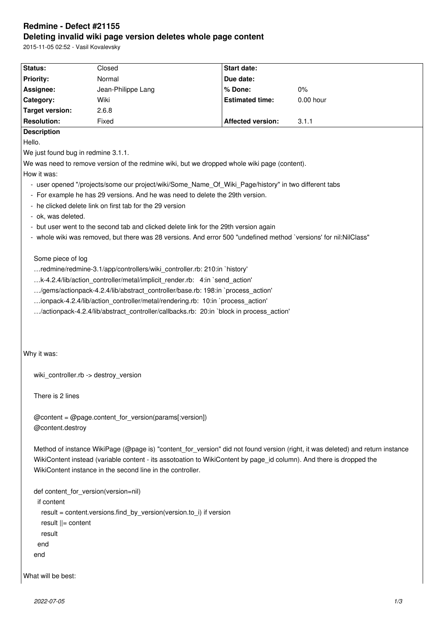# **Redmine - Defect #21155 Deleting invalid wiki page version deletes whole page content**

| 2015-11-05 02:52 - Vasil Kovalevsky                                |                                                                                                                                                                                                                                                                                                                             |                                                                                                                     |                                                                                                                                |
|--------------------------------------------------------------------|-----------------------------------------------------------------------------------------------------------------------------------------------------------------------------------------------------------------------------------------------------------------------------------------------------------------------------|---------------------------------------------------------------------------------------------------------------------|--------------------------------------------------------------------------------------------------------------------------------|
| Status:                                                            | Closed                                                                                                                                                                                                                                                                                                                      | <b>Start date:</b>                                                                                                  |                                                                                                                                |
| <b>Priority:</b>                                                   | Normal                                                                                                                                                                                                                                                                                                                      | Due date:                                                                                                           |                                                                                                                                |
| Assignee:                                                          | Jean-Philippe Lang                                                                                                                                                                                                                                                                                                          | % Done:                                                                                                             | $0\%$                                                                                                                          |
| Category:                                                          | Wiki                                                                                                                                                                                                                                                                                                                        | <b>Estimated time:</b>                                                                                              | 0.00 hour                                                                                                                      |
| <b>Target version:</b>                                             | 2.6.8                                                                                                                                                                                                                                                                                                                       |                                                                                                                     |                                                                                                                                |
| <b>Resolution:</b>                                                 | Fixed                                                                                                                                                                                                                                                                                                                       | <b>Affected version:</b>                                                                                            | 3.1.1                                                                                                                          |
| <b>Description</b>                                                 |                                                                                                                                                                                                                                                                                                                             |                                                                                                                     |                                                                                                                                |
| Hello.                                                             |                                                                                                                                                                                                                                                                                                                             |                                                                                                                     |                                                                                                                                |
| We just found bug in redmine 3.1.1.                                |                                                                                                                                                                                                                                                                                                                             |                                                                                                                     |                                                                                                                                |
|                                                                    |                                                                                                                                                                                                                                                                                                                             | We was need to remove version of the redmine wiki, but we dropped whole wiki page (content).                        |                                                                                                                                |
| How it was:                                                        |                                                                                                                                                                                                                                                                                                                             |                                                                                                                     |                                                                                                                                |
|                                                                    |                                                                                                                                                                                                                                                                                                                             | - user opened "/projects/some our project/wiki/Some_Name_Of_Wiki_Page/history" in two different tabs                |                                                                                                                                |
|                                                                    | - For example he has 29 versions. And he was need to delete the 29th version.                                                                                                                                                                                                                                               |                                                                                                                     |                                                                                                                                |
|                                                                    | - he clicked delete link on first tab for the 29 version                                                                                                                                                                                                                                                                    |                                                                                                                     |                                                                                                                                |
| - ok, was deleted.                                                 |                                                                                                                                                                                                                                                                                                                             |                                                                                                                     |                                                                                                                                |
|                                                                    | - but user went to the second tab and clicked delete link for the 29th version again                                                                                                                                                                                                                                        |                                                                                                                     |                                                                                                                                |
|                                                                    |                                                                                                                                                                                                                                                                                                                             | - whole wiki was removed, but there was 28 versions. And error 500 "undefined method `versions' for nil:NilClass"   |                                                                                                                                |
|                                                                    | redmine/redmine-3.1/app/controllers/wiki_controller.rb: 210:in `history'<br>k-4.2.4/lib/action_controller/metal/implicit_render.rb: 4:in `send_action'<br>/gems/actionpack-4.2.4/lib/abstract_controller/base.rb: 198:in `process_action'<br>ionpack-4.2.4/lib/action_controller/metal/rendering.rb: 10:in `process_action' | /actionpack-4.2.4/lib/abstract_controller/callbacks.rb: 20:in `block in process_action'                             |                                                                                                                                |
| Why it was:                                                        | wiki controller.rb -> destroy version                                                                                                                                                                                                                                                                                       |                                                                                                                     |                                                                                                                                |
|                                                                    |                                                                                                                                                                                                                                                                                                                             |                                                                                                                     |                                                                                                                                |
| There is 2 lines                                                   |                                                                                                                                                                                                                                                                                                                             |                                                                                                                     |                                                                                                                                |
| @content.destroy                                                   | $@$ content = $@$ page.content_for_version(params[:version])                                                                                                                                                                                                                                                                |                                                                                                                     |                                                                                                                                |
|                                                                    | WikiContent instance in the second line in the controller.                                                                                                                                                                                                                                                                  | WikiContent instead (variable content - its assotoation to WikiContent by page_id column). And there is dropped the | Method of instance WikiPage (@page is) "content for version" did not found version (right, it was deleted) and return instance |
|                                                                    | def content_for_version(version=nil)                                                                                                                                                                                                                                                                                        |                                                                                                                     |                                                                                                                                |
| if content                                                         |                                                                                                                                                                                                                                                                                                                             |                                                                                                                     |                                                                                                                                |
| result = content.versions.find_by_version(version.to_i) if version |                                                                                                                                                                                                                                                                                                                             |                                                                                                                     |                                                                                                                                |
| result $\parallel$ = content                                       |                                                                                                                                                                                                                                                                                                                             |                                                                                                                     |                                                                                                                                |
| result                                                             |                                                                                                                                                                                                                                                                                                                             |                                                                                                                     |                                                                                                                                |
| end                                                                |                                                                                                                                                                                                                                                                                                                             |                                                                                                                     |                                                                                                                                |
| end                                                                |                                                                                                                                                                                                                                                                                                                             |                                                                                                                     |                                                                                                                                |
|                                                                    |                                                                                                                                                                                                                                                                                                                             |                                                                                                                     |                                                                                                                                |

What will be best: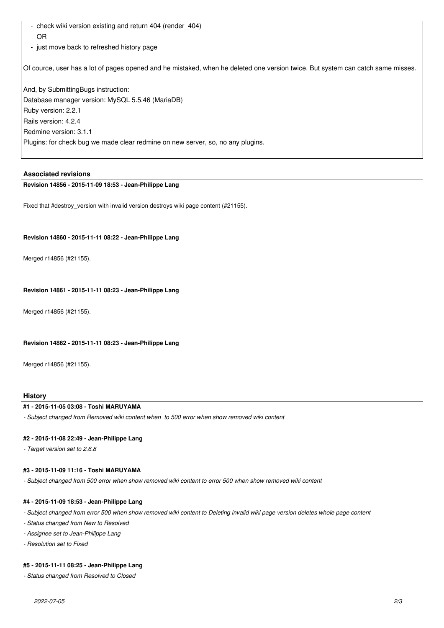- check wiki version existing and return 404 (render 404) OR
- just move back to refreshed history page

Of cource, user has a lot of pages opened and he mistaked, when he deleted one version twice. But system can catch same misses.

And, by SubmittingBugs instruction: Database manager version: MySQL 5.5.46 (MariaDB) Ruby version: 2.2.1 Rails version: 4.2.4 Redmine version: 3.1.1 Plugins: for check bug we made clear redmine on new server, so, no any plugins.

## **Associated revisions**

# **Revision 14856 - 2015-11-09 18:53 - Jean-Philippe Lang**

Fixed that #destroy\_version with invalid version destroys wiki page content (#21155).

#### **Revision 14860 - 2015-11-11 08:22 - Jean-Philippe Lang**

Merged r14856 (#21155).

### **Revision 14861 - 2015-11-11 08:23 - Jean-Philippe Lang**

Merged r14856 (#21155).

#### **Revision 14862 - 2015-11-11 08:23 - Jean-Philippe Lang**

Merged r14856 (#21155).

#### **History**

# **#1 - 2015-11-05 03:08 - Toshi MARUYAMA**

*- Subject changed from Removed wiki content when to 500 error when show removed wiki content*

#### **#2 - 2015-11-08 22:49 - Jean-Philippe Lang**

*- Target version set to 2.6.8*

## **#3 - 2015-11-09 11:16 - Toshi MARUYAMA**

*- Subject changed from 500 error when show removed wiki content to error 500 when show removed wiki content*

#### **#4 - 2015-11-09 18:53 - Jean-Philippe Lang**

*- Subject changed from error 500 when show removed wiki content to Deleting invalid wiki page version deletes whole page content*

- *Status changed from New to Resolved*
- *Assignee set to Jean-Philippe Lang*
- *Resolution set to Fixed*

# **#5 - 2015-11-11 08:25 - Jean-Philippe Lang**

*- Status changed from Resolved to Closed*